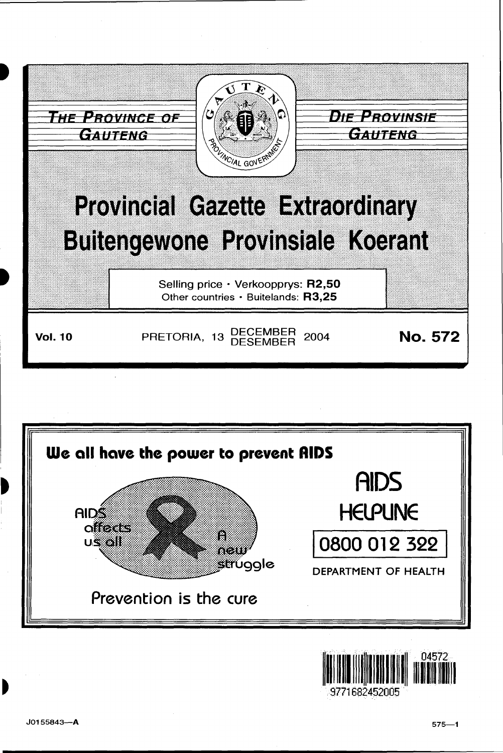



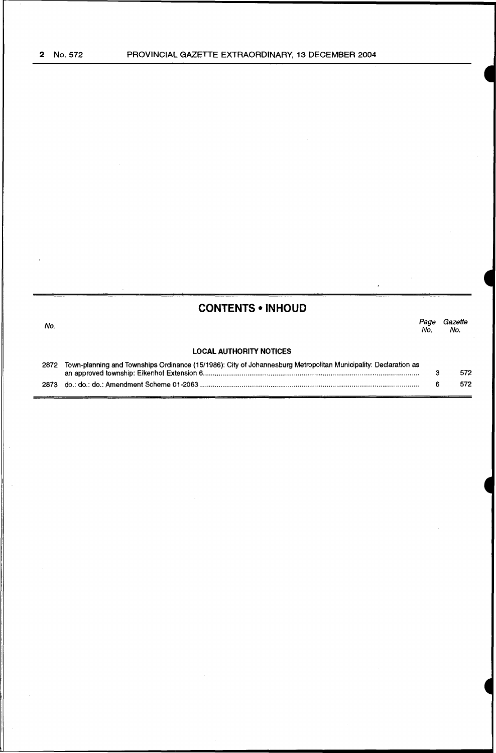|      | <b>CONTENTS • INHOUD</b>                                                                                        |            |                |
|------|-----------------------------------------------------------------------------------------------------------------|------------|----------------|
| No.  |                                                                                                                 | Page<br>Nο | Gazette<br>No. |
|      | <b>LOCAL AUTHORITY NOTICES</b>                                                                                  |            |                |
| 2872 | Town-planning and Townships Ordinance (15/1986): City of Johannesburg Metropolitan Municipality: Declaration as | 3          | 572            |
| 2873 |                                                                                                                 | 6          | 572            |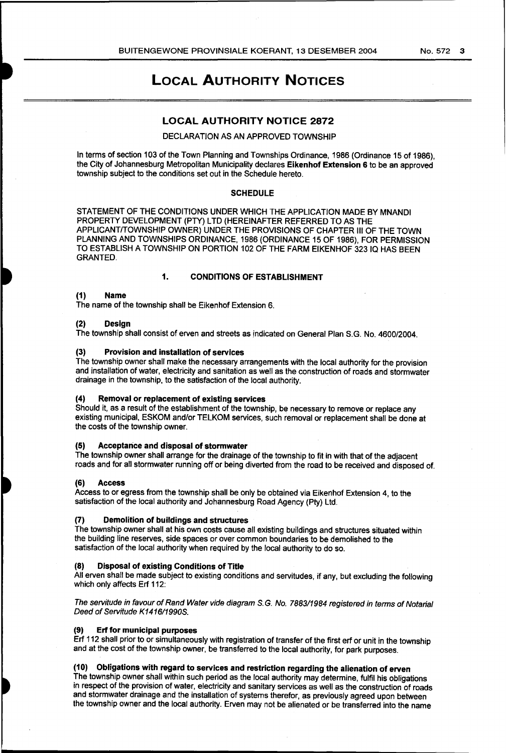# LOCAL AUTHORITY NOTICES

## LOCAL AUTHORITY NOTICE 2872

## DECLARATION AS AN APPROVED TOWNSHIP

In terms of section 103 of the Town Planning and Townships Ordinance, 1986 (Ordinance 15 of 1986), the City of Johannesburg Metropolitan Municipality declares Eikenhof Extension 6 to be an approved township subject to the conditions set out in the Schedule hereto.

#### **SCHEDULE**

STATEMENT OF THE CONDITIONS UNDER WHICH THE APPLICATION MADE BY MNANDI PROPERTY DEVELOPMENT (PTY) LTD (HEREINAFTER REFERRED TO AS THE APPLICANT/TOWNSHIP OWNER) UNDER THE PROVISIONS OF CHAPTER Ill OF THE TOWN PLANNING AND TOWNSHIPS ORDINANCE, 1986 (ORDINANCE 15 OF 1986), FOR PERMISSION TO ESTABLISH A TOWNSHIP ON PORTION 102 OF THE FARM EIKENHOF 32310 HAS BEEN GRANTED.

#### 1. CONDITIONS OF ESTABLISHMENT

#### (1) Name

The name of the township shall be Eikenhof Extension 6.

#### (2) Design

The township shall consist of erven and streets as indicated on General Plan S.G. No. 4600/2004.

### (3) Provision and installation of services

The township owner shall make the necessary arrangements with the local authority for the provision and installation of water, electricity and sanitation as well as the construction of roads and stormwater drainage in the township, to the satisfaction of the local authority.

#### (4) Removal or replacement of existing services

Should it, as a result of the establishment of the township, be necessary to remove or replace any existing municipal, ESKOM and/or TELKOM services, such removal or replacement shall be done at the costs of the township owner.

## (5) Acceptance and disposal of stormwater

The township owner shall arrange for the drainage of the township to fit in with that of the adjacent roads and for all stormwater running off or being diverted from the road to be received and disposed of.

#### (6) Access

Access to or egress from the township shall be only be obtained via Eikenhof Extension 4, to the satisfaction of the local authority and Johannesburg Road Agency (Pty) Ltd.

## (7) Demolition of buildings and structures

The township owner shall at his own costs cause all existing buildings and structures situated within the building line reserves, side spaces or over common boundaries to be demolished to the satisfaction of the local authority when required by the local authority to do so.

## (8) Disposal of existing Conditions of Title

All erven shall be made subject to existing conditions and servitudes, if any, but excluding the following which only affects Erf 112:

The servitude in favour of Rand Water vide diagram S.G. No. 7883/1984 registered in terms of Notarial Deed of Servitude K1416/1990S.

#### Erf for municipal purposes

Erf 112 shall prior to or simultaneously with registration of transfer of the first erf or unit in the township and at the cost of the township owner, be transferred to the local authority, for park purposes.

## (10) Obligations with regard to services and restriction regarding the alienation of erven

The township owner shall within such period as the local authority may determine, fulfil his obligations in respect of the provision of water, electricity and sanitary services as well as the construction of roads and stormwater drainage and the installation of systems therefor, as previously agreed upon between the township owner and the local authority. Erven may not be alienated or be transferred into the name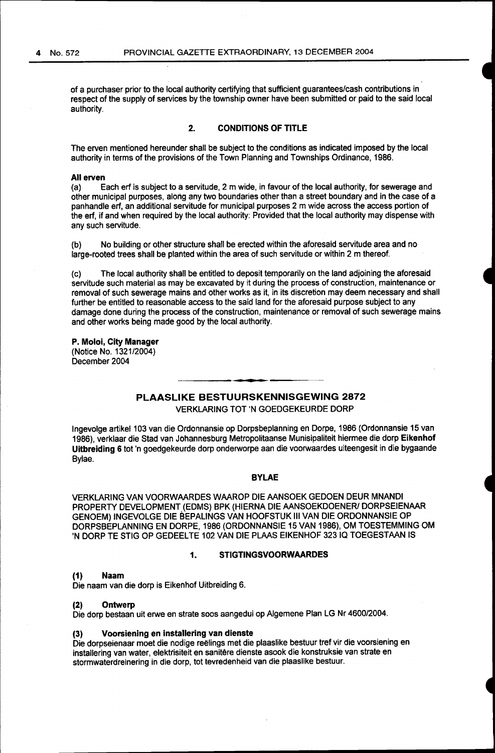of a purchaser prior to the local authority certifying that sufficient guarantees/cash contributions in respect of the supply of services by the township owner have been submitted or paid to the said local authority.

## **2. CONDITIONS OF TITLE**

The erven mentioned hereunder shall be subject to the conditions as indicated imposed by the local authority in terms of the provisions of the Town Planning and Townships Ordinance, 1986.

#### **All erven**

(a) Each erf is subject to a servitude, 2m wide, in favour of the local authority, for sewerage and other municipal purposes, alorig any two boundaries other than a street boundary and in the case of a panhandle erf, an additional servitude for municipal purposes 2 m wide across the access portion of the erf, if and when required by the local authority: Provided that the local authority may dispense with any such servitude.

(b) No building or other structure shall be erected within the aforesaid servitude area and no large-rooted trees shall be planted within the area of such servitude or within 2 m thereof.

(c) The local authority shall be entitled to deposit temporarily on the land adjoining the aforesaid servitude such material as may be excavated by it during the process of construction, maintenance or removal of such sewerage mains and other works as it, in its discretion may deem necessary and shall further be entitled to reasonable access to the said land for the aforesaid purpose subject to any damage done during the process of the construction, maintenance or removal of such sewerage mains and other works being made good by the local authority.

#### **P. Moloi, City Manager**

(Notice No. 1321/2004) December 2004

# **PLAASLIKE BESTUURSKENNISGEWING 2872**

VERKLARING TOT 'N GOEDGEKEURDE DORP

Ingevolge artikel 103 van die Ordonnansie op Dorpsbeplanning en Dorpe, 1986 (Ordonnansie 15 van 1986), verklaar die Stad van Johannesburg Metropolitaanse Munisipaliteit hiermee die dorp **Eikenhof Uitbreiding 6** tot 'n goedgekeurde dorp onderworpe aan die voorwaardes uiteengesit in die bygaande Bylae.

### **BYLAE**

VERKLARING VAN VOORWAARDES WAAROP DIE AANSOEK GEDOEN DEUR MNANDI PROPERTY DEVELOPMENT (EDMS) BPK (HIERNA DIE AANSOEKDOENER/ DORPSEIENAAR GENOEM) INGEVOLGE DIE BEPALINGS VAN HOOFSTUK III VAN DIE ORDONNANSIE OP DORPSBEPLANNING EN DORPE, 1986 (ORDONNANSIE 15 VAN 1986), OM TOESTEMMING OM 'N DORP TE STIG OP GEDEELTE 102 VAN DIE PLAAS EIKENHOF 323 IQ TOEGESTAAN IS

#### **1. STIGTINGSVOORWAARDES**

#### **(1) Naam**

Die naam van die dorp is Eikenhof Uitbreiding 6.

#### **(2) Ontwerp**

Die dorp bestaan uit erwe en strate soos aangedui op Algemene Plan LG Nr 4600/2004.

#### **(3) Voorsiening en insta'llering van dienste**

Die dorpseienaar moet die nodige reëlings met die plaaslike bestuur tref vir die voorsiening en installering van water, elektrisiteit en sanitêre dienste asook die konstruksie van strate en stormwaterdreinering in die dorp, tot tevredenheid van die plaaslike bestuur.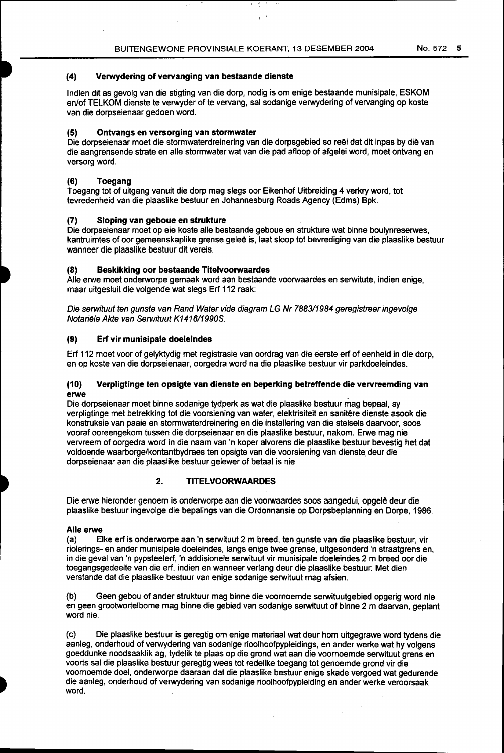## **(4) Verwydering of vervanging van bestaande dienste**

 $\sim$   $\pm$ 

lndien dit as gevolg van die stigting van die dorp, nodig is om enige bestaande munisipale, ESKOM en/of TELKOM dienste te verwyder of te vervang, sal sodanige verwydering of vervanging op koste van die dorpseienaar gedoen word.

## **(5) Ontvangs en versorging van stormwater**

Die dorpseienaar moet die stormwaterdreinering van die dorpsgebied so reël dat dit inpas by die van die aangrensende strate en aile stormwater wat van die pad afloop of afgelei word, moet ontvang en versorg word.

## **(6) Toegang**

Toegang tot of uitgang vanuit die dorp mag slegs oor Eikenhof Uitbreiding 4 verkry word, tot tevredenheid van die plaaslike bestuur en Johannesburg Roads Agency (Edms) Bpk.

## **(7) Sloping van geboue en strukture**

Die dorpseienaar moet op eie koste aile bestaande geboue en strukture wat binne boulynreserwes, kantruimtes of oor gemeenskaplike grense geleë is, laat sloop tot bevrediging van die plaaslike bestuur wanneer die plaaslike bestuur dit vereis.

## **(8) Beskikking oor bestaande Titelvoorwaardes**

Aile erwe moet onderworpe gemaak word aan bestaande voorwaardes en serwitute, indien enige, maar uitgesluit die volgende wat slegs Erf 112 raak:

Die serwituut ten gunste van Rand Water vide diagram LG Nr 788311984 geregistreer ingevolge Notariële Akte van Serwituut K1416/1990S.

## **(9) Erf vir munisipale doeleindes**

Erf 112 moet voor of gelyktydig met registrasie van oordrag van die eerste erf of eenheid in die dorp, en op koste van die dorpseienaar, oorgedra word na die plaaslike bestuur vir parkdoeleindes.

## **(10) Verpligtinge ten opsigte van dienste en beperking betreffende die vervreemding van erwe** .

Die dorpseienaar moet binne sodanige tydperk as wat die plaaslike bestuur mag bepaal, sy verpligtinge met betrekking tot die voorsiening van water, elektrisiteit en sanitêre dienste asook die konstruksie van paaie en stormwaterdreinering en die installering van die stelsels daarvoor, soos vooraf ooreengekom tussen die dorpseienaar en die plaaslike bestuur, nakom. Erwe mag nie vervreem of oorgedra word in die naam van 'n koper alvorens die plaaslike bestuur bevestig het dat voldoende waarborge/kontantbydraes ten opsigte van die voorsiening van dienste deur die dorpseienaar aan die plaaslike bestuur gelewer of betaal is nie.

## **2. TITELVOORWAARDES**

Die erwe hieronder genoem is onderworpe aan die voorwaardes soos aangedui, opgelê deur die plaaslike bestuur ingevolge die bepalings van die Ordonnansie op Dorpsbeplannirig en Dorpe, 1986.

## **Aile erwe**

(a) Elke erf is onderworpe aan 'n serwituut 2 m breed, ten gunste van die plaaslike bestuur, vir riolerings- en ander munisipale doeleindes, fangs enige twee grense, uitgesonderd 'n straatgrens en, in die geval van 'n pypsteelerf, 'n addisionele serwituut vir munisipale doeleindes 2 m breed oor die toegangsgedeelte van die erf, indien en wanneer verlang deur die plaaslike bestuur: Met dien verstande dat die plaaslike bestuur van enige sodanige serwituut mag afsien.

(b) Geen gebou of ander struktuur mag binne die voomoemde serwituutgebied opgerig word nie en geen grootwortelbome mag binne die gebied van sodanige serwituut of binne 2 m daarvan, geplant word nie.

(c) Die plaaslike bestuur is geregtig om enige materiaal wat deur hom uitgegrawe word tydens die aanleg, onderhoud of verwydering van sodanige rioolhoofpypleidings, en ander werke wat hy volgens goeddunke noodsaaklik ag, tydelik te plaas op die grond wat aan die voomoemde serwituut grens en voorts sal die plaaslike bestuur geregtigwees tot redelike toegang tot genoemde grand vir die voomoemde doel, onderworpe daaraan dat die plaaslike bestuur enige skade vergoed wat gedurende die aanleg, onderhoud of verwydering van sodanige rioolhoofpypleiding en ander werke veroorsaak word.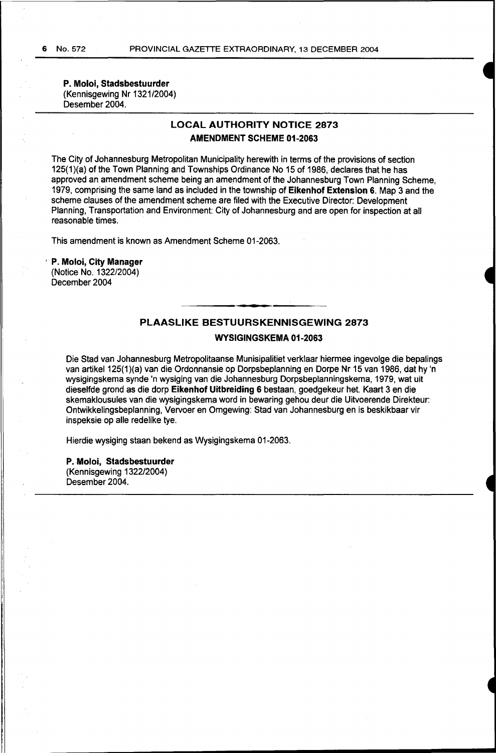**P. Moloi, Stadsbestuurder**  (Kennisgewing Nr 1321/2004) Desember 2004.

# **LOCAL AUTHORITY NOTICE 2873 AMENDMENT SCHEME 01-2063**

The City of Johannesburg Metropolitan Municipality herewith in terms of the provisions of section 125(1)(a) of the Town Planning and Townships Ordinance No 15 of 1986, declares that he has approved an amendment scheme being an amendment of the Johannesburg Town Planning Scheme, 1979, comprising the same land as included in the township of **Eikenhof Extension 6.** Map 3 and the scheme clauses of the amendment scheme are filed with the Executive Director: Development Planning, Transportation and Environment: City of Johannesburg and are open for inspection at all reasonable times.

This amendment is known as Amendment Scheme 01-2063.

' **P. Moloi, City Manager**  (Notice No. 1322/2004) December 2004

# **PLAASLIKE BESTUURSKENNISGEWING 2873**

## **WYSIGINGSKEMA 01-2063**

Die Stad van Johannesburg Metropolitaanse Munisipalitiet verklaar hiermee ingevolge die bepalings van artikel125(1)(a) van die Ordonnansie op Dorpsbeplanning en Dorpe Nr 15 van 1986, dat hy 'n wysigingskema synde 'n wysiging van die Johannesburg Dorpsbeplanningskema, 1979, wat uit dieselfde grond as die dorp **Eikenhof Uitbreiding 6** bestaan, goedgekeur het. Kaart 3 en die skemaklousules van die wysigingskema word in bewaring gehou deur die Uitvoerende Direkteur: Ontwikkelingsbeplanning, Vervoer en Omgewing: Stad van Johannesburg en is beskikbaar vir inspeksie op aile redelike tye.

Hierdie wysiging staan bekend as Wysigingskema 01-2063.

**P. Moloi, Stadsbestuurder**  (Kennisgewing 1322/2004) Desember 2004.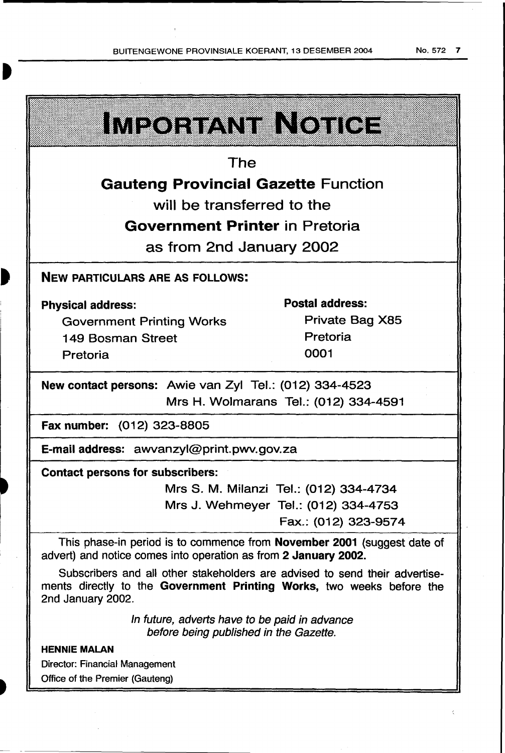| <u>IMEORIANI INOIIOH</u>                                                                                                                                                  |                                        |  |
|---------------------------------------------------------------------------------------------------------------------------------------------------------------------------|----------------------------------------|--|
| The                                                                                                                                                                       |                                        |  |
| <b>Gauteng Provincial Gazette Function</b>                                                                                                                                |                                        |  |
| will be transferred to the                                                                                                                                                |                                        |  |
| <b>Government Printer in Pretoria</b>                                                                                                                                     |                                        |  |
| as from 2nd January 2002                                                                                                                                                  |                                        |  |
| <b>NEW PARTICULARS ARE AS FOLLOWS:</b>                                                                                                                                    |                                        |  |
| <b>Physical address:</b>                                                                                                                                                  | <b>Postal address:</b>                 |  |
| <b>Government Printing Works</b>                                                                                                                                          | Private Bag X85                        |  |
| 149 Bosman Street                                                                                                                                                         | Pretoria                               |  |
| Pretoria                                                                                                                                                                  | 0001                                   |  |
| New contact persons: Awie van Zyl Tel.: (012) 334-4523                                                                                                                    |                                        |  |
|                                                                                                                                                                           | Mrs H. Wolmarans Tel.: (012) 334-4591  |  |
| Fax number: (012) 323-8805                                                                                                                                                |                                        |  |
| E-mail address: awvanzyl@print.pwv.gov.za                                                                                                                                 |                                        |  |
| <b>Contact persons for subscribers:</b>                                                                                                                                   |                                        |  |
|                                                                                                                                                                           | Mrs S. M. Milanzi Tel.: (012) 334-4734 |  |
|                                                                                                                                                                           | Mrs J. Wehmeyer Tel.: (012) 334-4753   |  |
|                                                                                                                                                                           | Fax.: (012) 323-9574                   |  |
| This phase-in period is to commence from November 2001 (suggest date of<br>advert) and notice comes into operation as from 2 January 2002.                                |                                        |  |
| Subscribers and all other stakeholders are advised to send their advertise-<br>ments directly to the Government Printing Works, two weeks before the<br>2nd January 2002. |                                        |  |
| In future, adverts have to be paid in advance                                                                                                                             |                                        |  |

before being published in the Gazette.

# HENNIE MALAN

Director: Financial Management Office of the Premier (Gauteng)